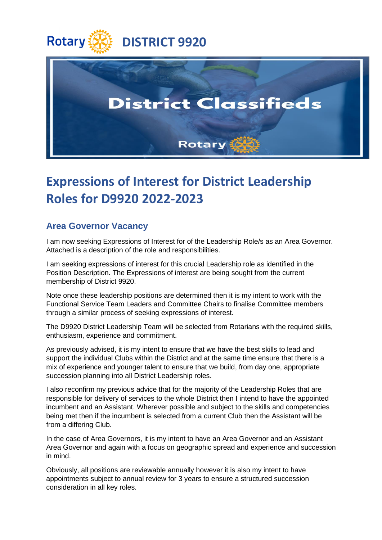



## **Expressions of Interest for District Leadership Roles for D9920 2022-2023**

## **Area Governor Vacancy**

I am now seeking Expressions of Interest for of the Leadership Role/s as an Area Governor. Attached is a description of the role and responsibilities.

I am seeking expressions of interest for this crucial Leadership role as identified in the Position Description. The Expressions of interest are being sought from the current membership of District 9920.

Note once these leadership positions are determined then it is my intent to work with the Functional Service Team Leaders and Committee Chairs to finalise Committee members through a similar process of seeking expressions of interest.

The D9920 District Leadership Team will be selected from Rotarians with the required skills, enthusiasm, experience and commitment.

As previously advised, it is my intent to ensure that we have the best skills to lead and support the individual Clubs within the District and at the same time ensure that there is a mix of experience and younger talent to ensure that we build, from day one, appropriate succession planning into all District Leadership roles.

I also reconfirm my previous advice that for the majority of the Leadership Roles that are responsible for delivery of services to the whole District then I intend to have the appointed incumbent and an Assistant. Wherever possible and subject to the skills and competencies being met then if the incumbent is selected from a current Club then the Assistant will be from a differing Club.

In the case of Area Governors, it is my intent to have an Area Governor and an Assistant Area Governor and again with a focus on geographic spread and experience and succession in mind.

Obviously, all positions are reviewable annually however it is also my intent to have appointments subject to annual review for 3 years to ensure a structured succession consideration in all key roles.